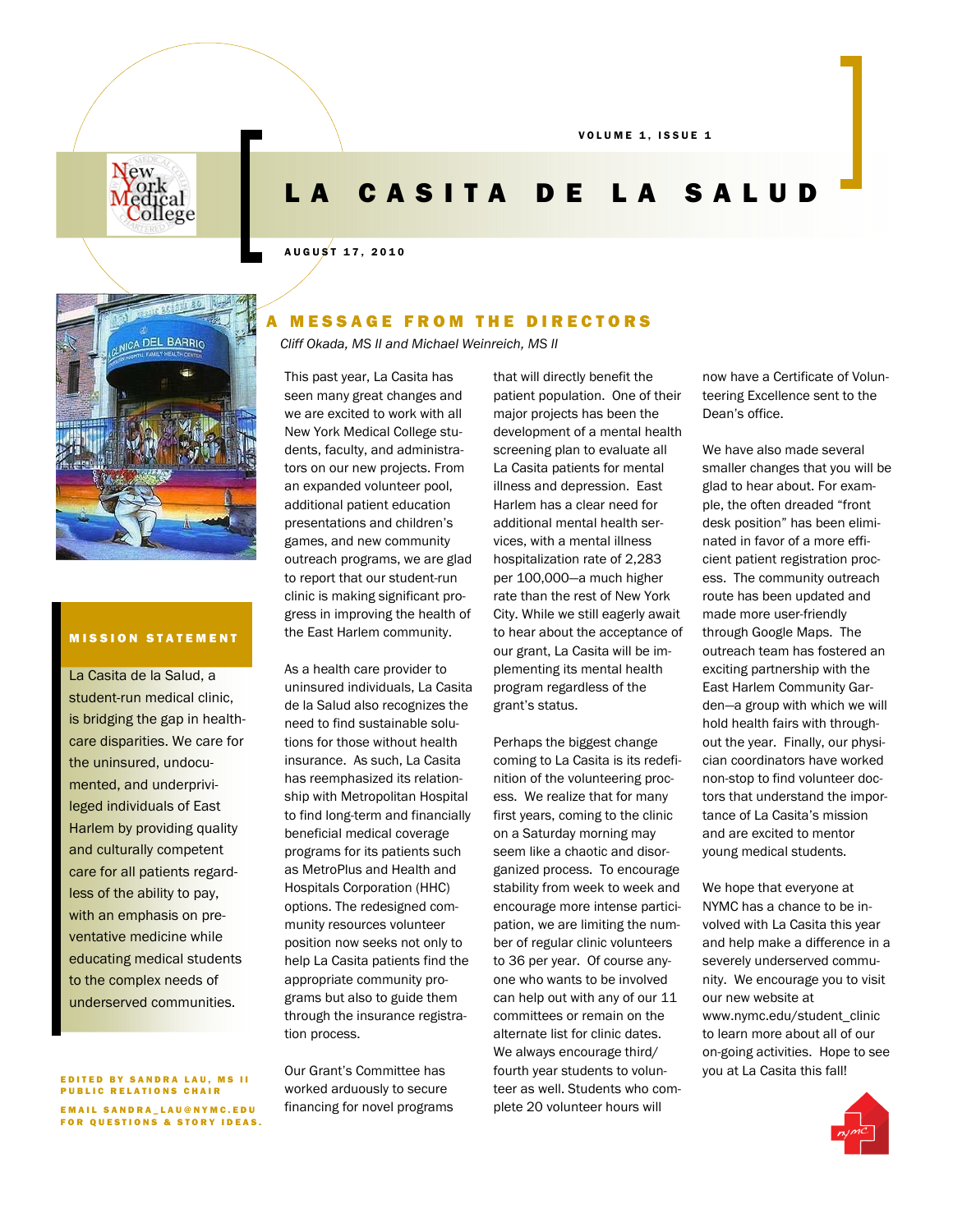VOLUME 1, ISSUE 1



# LA CASITA DE LA SALUD

#### A U G U S T 1 7 , 2 0 1 0



## **MISSION STATEMENT**

La Casita de la Salud, a student-run medical clinic, is bridging the gap in healthcare disparities. We care for the uninsured, undocumented, and underprivileged individuals of East Harlem by providing quality and culturally competent care for all patients regardless of the ability to pay, with an emphasis on preventative medicine while educating medical students to the complex needs of underserved communities.

EDITED BY SANDRA LAU, MS II PUBLIC RELATIONS CHAIR EMAIL SANDRA\_LAU@NYMC.EDU **FOR QUESTIONS & STORY IDEAS.** 

## A MESSAGE FROM THE DIRECTORS

*Cliff Okada, MS II and Michael Weinreich, MS II* 

This past year, La Casita has seen many great changes and we are excited to work with all New York Medical College students, faculty, and administrators on our new projects. From an expanded volunteer pool, additional patient education presentations and children's games, and new community outreach programs, we are glad to report that our student-run clinic is making significant progress in improving the health of the East Harlem community.

As a health care provider to uninsured individuals, La Casita de la Salud also recognizes the need to find sustainable solutions for those without health insurance. As such, La Casita has reemphasized its relationship with Metropolitan Hospital to find long-term and financially beneficial medical coverage programs for its patients such as MetroPlus and Health and Hospitals Corporation (HHC) options. The redesigned community resources volunteer position now seeks not only to help La Casita patients find the appropriate community programs but also to guide them through the insurance registration process.

Our Grant's Committee has worked arduously to secure financing for novel programs that will directly benefit the patient population. One of their major projects has been the development of a mental health screening plan to evaluate all La Casita patients for mental illness and depression. East Harlem has a clear need for additional mental health services, with a mental illness hospitalization rate of 2,283 per 100,000—a much higher rate than the rest of New York City. While we still eagerly await to hear about the acceptance of our grant, La Casita will be implementing its mental health program regardless of the grant's status.

Perhaps the biggest change coming to La Casita is its redefinition of the volunteering process. We realize that for many first years, coming to the clinic on a Saturday morning may seem like a chaotic and disorganized process. To encourage stability from week to week and encourage more intense participation, we are limiting the number of regular clinic volunteers to 36 per year. Of course anyone who wants to be involved can help out with any of our 11 committees or remain on the alternate list for clinic dates. We always encourage third/ fourth year students to volunteer as well. Students who complete 20 volunteer hours will

now have a Certificate of Volunteering Excellence sent to the Dean's office.

We have also made several smaller changes that you will be glad to hear about. For example, the often dreaded "front desk position" has been eliminated in favor of a more efficient patient registration process. The community outreach route has been updated and made more user-friendly through Google Maps. The outreach team has fostered an exciting partnership with the East Harlem Community Garden—a group with which we will hold health fairs with throughout the year. Finally, our physician coordinators have worked non-stop to find volunteer doctors that understand the importance of La Casita's mission and are excited to mentor young medical students.

We hope that everyone at NYMC has a chance to be involved with La Casita this year and help make a difference in a severely underserved community. We encourage you to visit our new website at www.nymc.edu/student\_clinic to learn more about all of our on-going activities. Hope to see you at La Casita this fall!